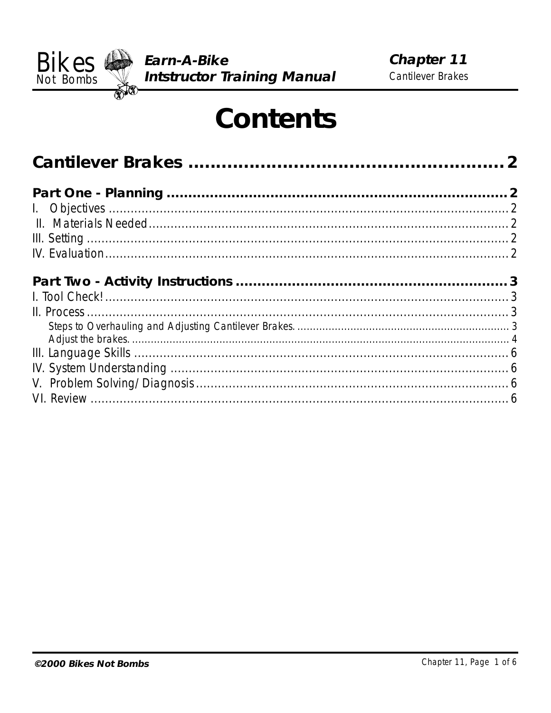

# **Contents**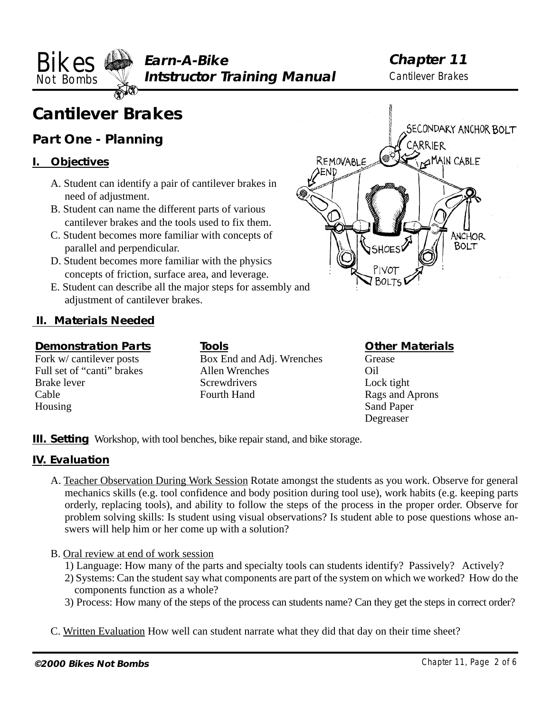<span id="page-1-0"></span>**Bikes**  $\bigoplus$  Earn-A-Bike Chapter 11 Not Bombs **Weight Structor Training Manual** Cantilever Brakes

# **Cantilever Brakes**

# **Part One - Planning**

# **I. Objectives**

- A. Student can identify a pair of cantilever brakes in need of adjustment.
- B. Student can name the different parts of various cantilever brakes and the tools used to fix them.
- C. Student becomes more familiar with concepts of parallel and perpendicular.
- D. Student becomes more familiar with the physics concepts of friction, surface area, and leverage.
- E. Student can describe all the major steps for assembly and adjustment of cantilever brakes.

# **II. Materials Needed**

#### **Demonstration Parts**

Fork w/ cantilever posts Full set of "canti" brakes Brake lever Cable Housing

**Tools** Box End and Adj. Wrenches Allen Wrenches **Screwdrivers** Fourth Hand

# **Other Materials**

Grease Oil Lock tight Rags and Aprons Sand Paper Degreaser

**III. Setting** Workshop, with tool benches, bike repair stand, and bike storage.

# **IV. Evaluation**

- A. Teacher Observation During Work Session Rotate amongst the students as you work. Observe for general mechanics skills (e.g. tool confidence and body position during tool use), work habits (e.g. keeping parts orderly, replacing tools), and ability to follow the steps of the process in the proper order. Observe for problem solving skills: Is student using visual observations? Is student able to pose questions whose answers will help him or her come up with a solution?
- B. Oral review at end of work session
	- 1) Language: How many of the parts and specialty tools can students identify? Passively? Actively?
	- 2) Systems: Can the student say what components are part of the system on which we worked? How do the components function as a whole?
	- 3) Process: How many of the steps of the process can students name? Can they get the steps in correct order?
- C. Written Evaluation How well can student narrate what they did that day on their time sheet?

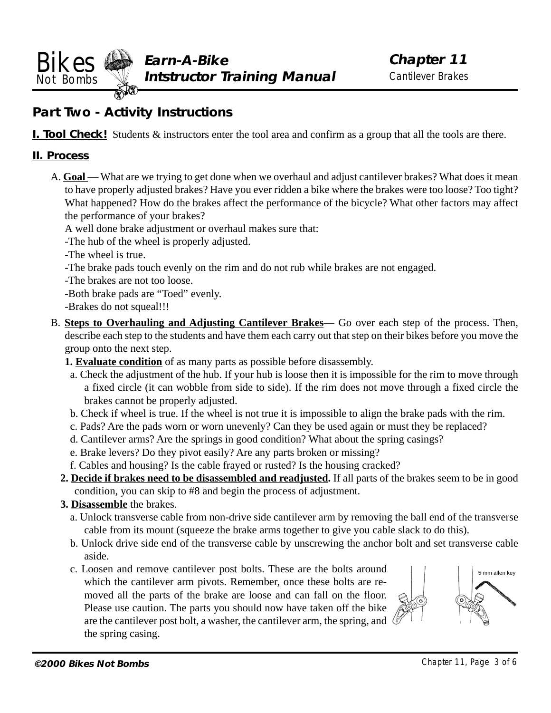<span id="page-2-0"></span>**Bikes**  $\bigoplus$  Earn-A-Bike Chapter 11 Not Bombs **Weight Structor Training Manual** Cantilever Brakes

# **Part Two - Activity Instructions**

**I. Tool Check!** Students  $\&$  instructors enter the tool area and confirm as a group that all the tools are there.

# **II. Process**

- A. **Goal** What are we trying to get done when we overhaul and adjust cantilever brakes? What does it mean to have properly adjusted brakes? Have you ever ridden a bike where the brakes were too loose? Too tight? What happened? How do the brakes affect the performance of the bicycle? What other factors may affect the performance of your brakes?
	- A well done brake adjustment or overhaul makes sure that:
	- -The hub of the wheel is properly adjusted.
	- -The wheel is true.
	- -The brake pads touch evenly on the rim and do not rub while brakes are not engaged.
	- -The brakes are not too loose.
	- -Both brake pads are "Toed" evenly.
	- -Brakes do not squeal!!!
- B. **Steps to Overhauling and Adjusting Cantilever Brakes** Go over each step of the process. Then, describe each step to the students and have them each carry out that step on their bikes before you move the group onto the next step.
	- **1. Evaluate condition** of as many parts as possible before disassembly.
	- a. Check the adjustment of the hub. If your hub is loose then it is impossible for the rim to move through a fixed circle (it can wobble from side to side). If the rim does not move through a fixed circle the brakes cannot be properly adjusted.
	- b. Check if wheel is true. If the wheel is not true it is impossible to align the brake pads with the rim.
	- c. Pads? Are the pads worn or worn unevenly? Can they be used again or must they be replaced?
	- d. Cantilever arms? Are the springs in good condition? What about the spring casings?
	- e. Brake levers? Do they pivot easily? Are any parts broken or missing?
	- f. Cables and housing? Is the cable frayed or rusted? Is the housing cracked?
	- **2. Decide if brakes need to be disassembled and readjusted.** If all parts of the brakes seem to be in good condition, you can skip to #8 and begin the process of adjustment.
	- **3. Disassemble** the brakes.
		- a. Unlock transverse cable from non-drive side cantilever arm by removing the ball end of the transverse cable from its mount (squeeze the brake arms together to give you cable slack to do this).
		- b. Unlock drive side end of the transverse cable by unscrewing the anchor bolt and set transverse cable aside.
		- c. Loosen and remove cantilever post bolts. These are the bolts around which the cantilever arm pivots. Remember, once these bolts are removed all the parts of the brake are loose and can fall on the floor. Please use caution. The parts you should now have taken off the bike are the cantilever post bolt, a washer, the cantilever arm, the spring, and the spring casing.

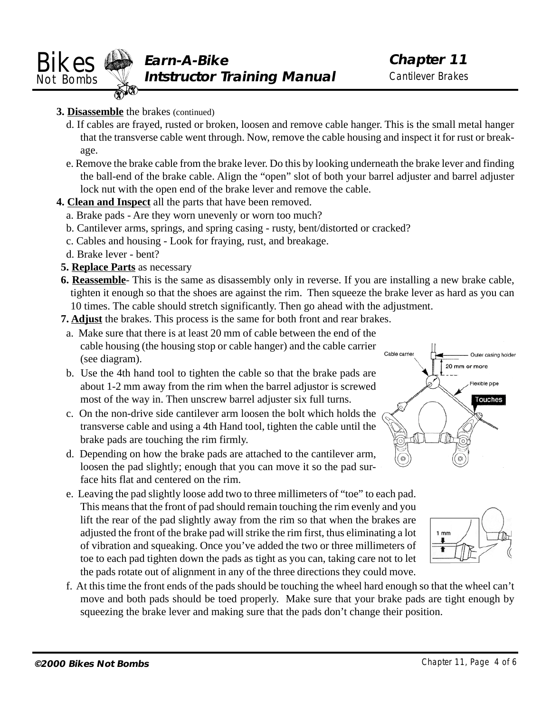<span id="page-3-0"></span>

# **3. Disassemble** the brakes (continued)

- d. If cables are frayed, rusted or broken, loosen and remove cable hanger. This is the small metal hanger that the transverse cable went through. Now, remove the cable housing and inspect it for rust or breakage.
- e. Remove the brake cable from the brake lever. Do this by looking underneath the brake lever and finding the ball-end of the brake cable. Align the "open" slot of both your barrel adjuster and barrel adjuster lock nut with the open end of the brake lever and remove the cable.
- **4. Clean and Inspect** all the parts that have been removed.
	- a. Brake pads Are they worn unevenly or worn too much?
	- b. Cantilever arms, springs, and spring casing rusty, bent/distorted or cracked?
	- c. Cables and housing Look for fraying, rust, and breakage.
	- d. Brake lever bent?
- **5. Replace Parts** as necessary
- **6. Reassemble** This is the same as disassembly only in reverse. If you are installing a new brake cable, tighten it enough so that the shoes are against the rim. Then squeeze the brake lever as hard as you can 10 times. The cable should stretch significantly. Then go ahead with the adjustment.
- **7. Adjust** the brakes. This process is the same for both front and rear brakes.
- a. Make sure that there is at least 20 mm of cable between the end of the cable housing (the housing stop or cable hanger) and the cable carrier (see diagram).
- b. Use the 4th hand tool to tighten the cable so that the brake pads are about 1-2 mm away from the rim when the barrel adjustor is screwed most of the way in. Then unscrew barrel adjuster six full turns.
- c. On the non-drive side cantilever arm loosen the bolt which holds the transverse cable and using a 4th Hand tool, tighten the cable until the brake pads are touching the rim firmly.
- d. Depending on how the brake pads are attached to the cantilever arm, loosen the pad slightly; enough that you can move it so the pad surface hits flat and centered on the rim.
- e. Leaving the pad slightly loose add two to three millimeters of "toe" to each pad. This means that the front of pad should remain touching the rim evenly and you lift the rear of the pad slightly away from the rim so that when the brakes are adjusted the front of the brake pad will strike the rim first, thus eliminating a lot of vibration and squeaking. Once you've added the two or three millimeters of toe to each pad tighten down the pads as tight as you can, taking care not to let the pads rotate out of alignment in any of the three directions they could move.
- f. At this time the front ends of the pads should be touching the wheel hard enough so that the wheel can't move and both pads should be toed properly. Make sure that your brake pads are tight enough by squeezing the brake lever and making sure that the pads don't change their position.



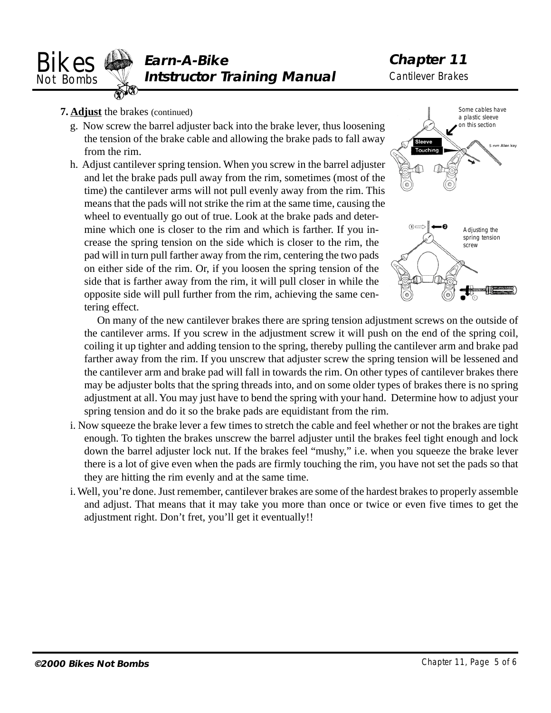<span id="page-4-0"></span>

- **7. Adjust** the brakes (continued)
	- g. Now screw the barrel adjuster back into the brake lever, thus loosening the tension of the brake cable and allowing the brake pads to fall away from the rim.
	- h. Adjust cantilever spring tension. When you screw in the barrel adjuster and let the brake pads pull away from the rim, sometimes (most of the time) the cantilever arms will not pull evenly away from the rim. This means that the pads will not strike the rim at the same time, causing the wheel to eventually go out of true. Look at the brake pads and determine which one is closer to the rim and which is farther. If you increase the spring tension on the side which is closer to the rim, the pad will in turn pull farther away from the rim, centering the two pads on either side of the rim. Or, if you loosen the spring tension of the side that is farther away from the rim, it will pull closer in while the opposite side will pull further from the rim, achieving the same centering effect.



On many of the new cantilever brakes there are spring tension adjustment screws on the outside of the cantilever arms. If you screw in the adjustment screw it will push on the end of the spring coil, coiling it up tighter and adding tension to the spring, thereby pulling the cantilever arm and brake pad farther away from the rim. If you unscrew that adjuster screw the spring tension will be lessened and the cantilever arm and brake pad will fall in towards the rim. On other types of cantilever brakes there may be adjuster bolts that the spring threads into, and on some older types of brakes there is no spring adjustment at all. You may just have to bend the spring with your hand. Determine how to adjust your spring tension and do it so the brake pads are equidistant from the rim.

- i. Now squeeze the brake lever a few times to stretch the cable and feel whether or not the brakes are tight enough. To tighten the brakes unscrew the barrel adjuster until the brakes feel tight enough and lock down the barrel adjuster lock nut. If the brakes feel "mushy," i.e. when you squeeze the brake lever there is a lot of give even when the pads are firmly touching the rim, you have not set the pads so that they are hitting the rim evenly and at the same time.
- i. Well, you're done. Just remember, cantilever brakes are some of the hardest brakes to properly assemble and adjust. That means that it may take you more than once or twice or even five times to get the adjustment right. Don't fret, you'll get it eventually!!